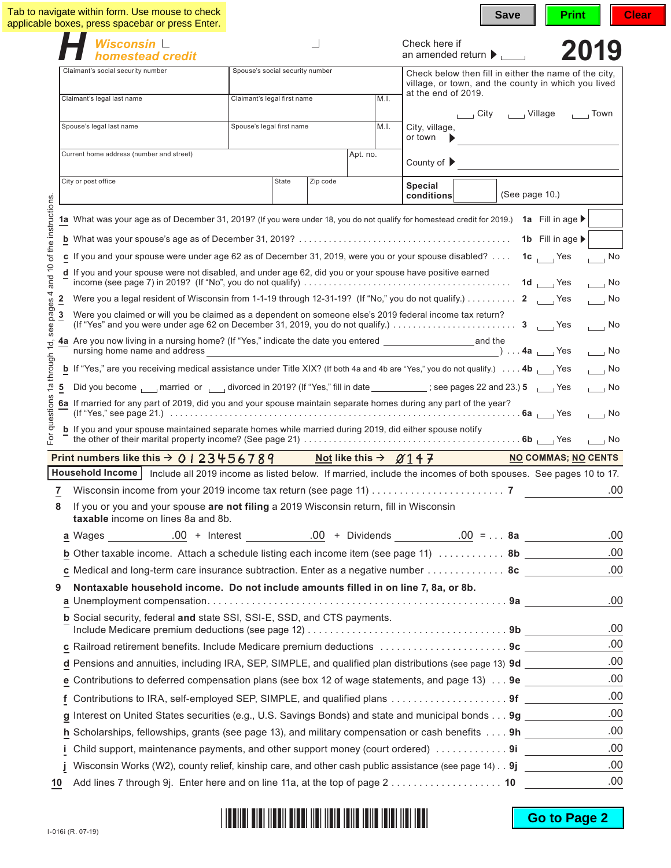|                                                                  | Wisconsin $\mathrel{\sqcup}$                                                                                                                                                                                                                                                                                                                                                                                                                                                                                                                                                                                        |                                 |       |          |          | Check here if                   |                                         |                       |                                                                                                              | 2019                                                                                                                                                    |
|------------------------------------------------------------------|---------------------------------------------------------------------------------------------------------------------------------------------------------------------------------------------------------------------------------------------------------------------------------------------------------------------------------------------------------------------------------------------------------------------------------------------------------------------------------------------------------------------------------------------------------------------------------------------------------------------|---------------------------------|-------|----------|----------|---------------------------------|-----------------------------------------|-----------------------|--------------------------------------------------------------------------------------------------------------|---------------------------------------------------------------------------------------------------------------------------------------------------------|
|                                                                  | homestead credit                                                                                                                                                                                                                                                                                                                                                                                                                                                                                                                                                                                                    |                                 |       |          |          |                                 | an amended return $\blacktriangleright$ |                       |                                                                                                              |                                                                                                                                                         |
|                                                                  | Claimant's social security number                                                                                                                                                                                                                                                                                                                                                                                                                                                                                                                                                                                   | Spouse's social security number |       |          |          |                                 |                                         |                       | Check below then fill in either the name of the city,<br>village, or town, and the county in which you lived |                                                                                                                                                         |
|                                                                  | Claimant's legal last name                                                                                                                                                                                                                                                                                                                                                                                                                                                                                                                                                                                          | Claimant's legal first name     |       |          | M.I.     |                                 | at the end of 2019.                     |                       |                                                                                                              |                                                                                                                                                         |
|                                                                  |                                                                                                                                                                                                                                                                                                                                                                                                                                                                                                                                                                                                                     |                                 |       |          |          |                                 |                                         | └── City      Village |                                                                                                              | $\sqrt{2}$ Town                                                                                                                                         |
|                                                                  | Spouse's legal last name                                                                                                                                                                                                                                                                                                                                                                                                                                                                                                                                                                                            | Spouse's legal first name       |       |          | M.I.     | City, village,<br>or town       |                                         |                       |                                                                                                              |                                                                                                                                                         |
|                                                                  | Current home address (number and street)                                                                                                                                                                                                                                                                                                                                                                                                                                                                                                                                                                            |                                 |       |          | Apt. no. | County of $\blacktriangleright$ |                                         |                       |                                                                                                              |                                                                                                                                                         |
| instructions.                                                    | City or post office                                                                                                                                                                                                                                                                                                                                                                                                                                                                                                                                                                                                 |                                 | State | Zip code |          | Special<br>conditions           |                                         |                       | (See page $10.$ )                                                                                            |                                                                                                                                                         |
| of the<br>$\overline{0}$<br>and<br>4<br>pages<br>3<br>see<br>ļd. | c If you and your spouse were under age 62 as of December 31, 2019, were you or your spouse disabled?  1c $\sim$ Yes<br>d If you and your spouse were not disabled, and under age 62, did you or your spouse have positive earned<br>Were you a legal resident of Wisconsin from 1-1-19 through 12-31-19? (If "No," you do not qualify.) 2   Yes<br>Were you claimed or will you be claimed as a dependent on someone else's 2019 federal income tax return?<br>4a Are you now living in a nursing home? (If "Yes," indicate the date you entered _________________________and the<br>nursing home name and address |                                 |       |          |          |                                 |                                         |                       | 1b Fill in age                                                                                               | $\overline{\phantom{a}}$ No<br>$\overline{\phantom{0}}$ No<br>$\overline{\phantom{0}}$ No<br>$\overline{\phantom{0}}$ No<br>$\overline{\phantom{0}}$ No |
| through<br>$\overline{a}$<br>5<br>estions                        | <b>b</b> If "Yes," are you receiving medical assistance under Title XIX? (If both 4a and 4b are "Yes," you do not qualify.) $\dots$ 4b<br>Did you become <sub>1</sub> married or <sub>1</sub> divorced in 2019? (If "Yes," fill in date 100 million compages 22 and 23.) 5 million<br>6a If married for any part of 2019, did you and your spouse maintain separate homes during any part of the year?                                                                                                                                                                                                              |                                 |       |          |          |                                 |                                         |                       |                                                                                                              | $\overline{\phantom{0}}$ No<br>$\overline{\phantom{a}}$ No<br>$\Box$ No                                                                                 |
| For                                                              | <b>b</b> If you and your spouse maintained separate homes while married during 2019, did either spouse notify                                                                                                                                                                                                                                                                                                                                                                                                                                                                                                       |                                 |       |          |          |                                 |                                         |                       |                                                                                                              | $\overline{1}$ No                                                                                                                                       |
|                                                                  | Print numbers like this $\rightarrow$ 0 1 2 3 4 5 6 7 8 9 Not like this $\rightarrow$ $\emptyset$ 1 4 7                                                                                                                                                                                                                                                                                                                                                                                                                                                                                                             |                                 |       |          |          |                                 |                                         |                       | <b>NO COMMAS; NO CENTS</b>                                                                                   |                                                                                                                                                         |
|                                                                  | Household Income   Include all 2019 income as listed below. If married, include the incomes of both spouses. See pages 10 to 17.                                                                                                                                                                                                                                                                                                                                                                                                                                                                                    |                                 |       |          |          |                                 |                                         |                       |                                                                                                              |                                                                                                                                                         |
| 7                                                                |                                                                                                                                                                                                                                                                                                                                                                                                                                                                                                                                                                                                                     |                                 |       |          |          |                                 |                                         |                       |                                                                                                              | .00                                                                                                                                                     |
| 8                                                                | If you or you and your spouse are not filing a 2019 Wisconsin return, fill in Wisconsin<br>taxable income on lines 8a and 8b.                                                                                                                                                                                                                                                                                                                                                                                                                                                                                       |                                 |       |          |          |                                 |                                         |                       |                                                                                                              |                                                                                                                                                         |
|                                                                  |                                                                                                                                                                                                                                                                                                                                                                                                                                                                                                                                                                                                                     |                                 |       |          |          |                                 |                                         |                       |                                                                                                              | .00                                                                                                                                                     |
|                                                                  | <b>b</b> Other taxable income. Attach a schedule listing each income item (see page 11) $\ldots$ 8b                                                                                                                                                                                                                                                                                                                                                                                                                                                                                                                 |                                 |       |          |          |                                 |                                         |                       |                                                                                                              | .00                                                                                                                                                     |
|                                                                  | c Medical and long-term care insurance subtraction. Enter as a negative number $\dots\dots\dots\dots$ 8c                                                                                                                                                                                                                                                                                                                                                                                                                                                                                                            |                                 |       |          |          |                                 |                                         |                       |                                                                                                              | .00                                                                                                                                                     |
| 9                                                                | Nontaxable household income. Do not include amounts filled in on line 7, 8a, or 8b.                                                                                                                                                                                                                                                                                                                                                                                                                                                                                                                                 |                                 |       |          |          |                                 |                                         |                       |                                                                                                              |                                                                                                                                                         |
|                                                                  |                                                                                                                                                                                                                                                                                                                                                                                                                                                                                                                                                                                                                     |                                 |       |          |          |                                 |                                         |                       |                                                                                                              |                                                                                                                                                         |
|                                                                  | b Social security, federal and state SSI, SSI-E, SSD, and CTS payments.                                                                                                                                                                                                                                                                                                                                                                                                                                                                                                                                             |                                 |       |          |          |                                 |                                         |                       |                                                                                                              | .00<br>.00                                                                                                                                              |
|                                                                  | c Railroad retirement benefits. Include Medicare premium deductions 9c                                                                                                                                                                                                                                                                                                                                                                                                                                                                                                                                              |                                 |       |          |          |                                 |                                         |                       |                                                                                                              | .00                                                                                                                                                     |
|                                                                  | d Pensions and annuities, including IRA, SEP, SIMPLE, and qualified plan distributions (see page 13) 9d                                                                                                                                                                                                                                                                                                                                                                                                                                                                                                             |                                 |       |          |          |                                 |                                         |                       |                                                                                                              | .00                                                                                                                                                     |
|                                                                  | e Contributions to deferred compensation plans (see box 12 of wage statements, and page 13) $\dots$ 9e $\overline{\phantom{a}}$                                                                                                                                                                                                                                                                                                                                                                                                                                                                                     |                                 |       |          |          |                                 |                                         |                       |                                                                                                              | .00                                                                                                                                                     |
| f                                                                | Contributions to IRA, self-employed SEP, SIMPLE, and qualified plans 9f                                                                                                                                                                                                                                                                                                                                                                                                                                                                                                                                             |                                 |       |          |          |                                 |                                         |                       |                                                                                                              | .00                                                                                                                                                     |
|                                                                  | g Interest on United States securities (e.g., U.S. Savings Bonds) and state and municipal bonds 9g _______                                                                                                                                                                                                                                                                                                                                                                                                                                                                                                          |                                 |       |          |          |                                 |                                         |                       |                                                                                                              | .00                                                                                                                                                     |
|                                                                  | h Scholarships, fellowships, grants (see page 13), and military compensation or cash benefits 9h                                                                                                                                                                                                                                                                                                                                                                                                                                                                                                                    |                                 |       |          |          |                                 |                                         |                       |                                                                                                              | .00                                                                                                                                                     |
|                                                                  | Child support, maintenance payments, and other support money (court ordered) 9i                                                                                                                                                                                                                                                                                                                                                                                                                                                                                                                                     |                                 |       |          |          |                                 |                                         |                       |                                                                                                              | .00                                                                                                                                                     |
|                                                                  | Wisconsin Works (W2), county relief, kinship care, and other cash public assistance (see page 14) 9j                                                                                                                                                                                                                                                                                                                                                                                                                                                                                                                |                                 |       |          |          |                                 |                                         |                       |                                                                                                              | .00                                                                                                                                                     |

## 

**Go to Page 2**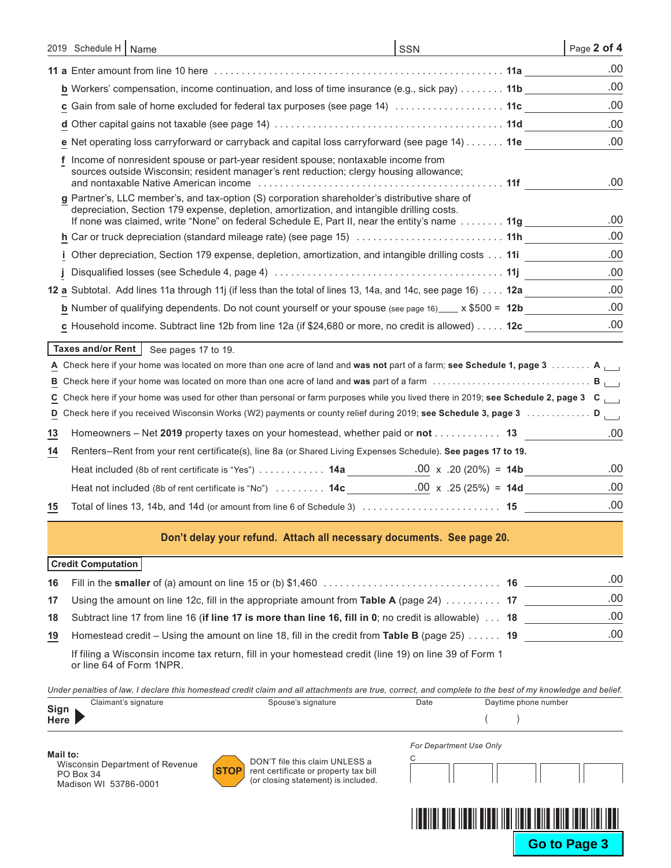|    | 2019 Schedule H   Name                                                                                                                                                                                                                                                                       | SSN | Page 2 of 4 |
|----|----------------------------------------------------------------------------------------------------------------------------------------------------------------------------------------------------------------------------------------------------------------------------------------------|-----|-------------|
|    |                                                                                                                                                                                                                                                                                              |     | .00         |
|    | <b>b</b> Workers' compensation, income continuation, and loss of time insurance (e.g., sick pay) 11b                                                                                                                                                                                         |     | .00         |
|    | <b>c</b> Gain from sale of home excluded for federal tax purposes (see page 14) $\ldots \ldots \ldots \ldots \ldots$                                                                                                                                                                         |     | .00         |
|    |                                                                                                                                                                                                                                                                                              |     | .00         |
|    | e Net operating loss carryforward or carryback and capital loss carryforward (see page 14) 11e                                                                                                                                                                                               |     | .00         |
|    | f Income of nonresident spouse or part-year resident spouse; nontaxable income from<br>sources outside Wisconsin; resident manager's rent reduction; clergy housing allowance;                                                                                                               |     | .00         |
|    | g Partner's, LLC member's, and tax-option (S) corporation shareholder's distributive share of<br>depreciation, Section 179 expense, depletion, amortization, and intangible drilling costs.<br>If none was claimed, write "None" on federal Schedule E, Part II, near the entity's name  11g |     | .00         |
|    |                                                                                                                                                                                                                                                                                              |     | .00         |
|    | i Other depreciation, Section 179 expense, depletion, amortization, and intangible drilling costs 11i                                                                                                                                                                                        |     | .00.        |
|    |                                                                                                                                                                                                                                                                                              |     | .00         |
|    | 12 a Subtotal. Add lines 11a through 11j (if less than the total of lines 13, 14a, and 14c, see page 16) 12a                                                                                                                                                                                 |     | .00         |
|    | <b>b</b> Number of qualifying dependents. Do not count yourself or your spouse (see page 16) $\frac{1}{2}$ x \$500 = 12b                                                                                                                                                                     |     | .00         |
|    | c Household income. Subtract line 12b from line 12a (if \$24,680 or more, no credit is allowed) $\dots$ . 12c                                                                                                                                                                                |     | .00         |
|    | Taxes and/or Rent   See pages 17 to 19.                                                                                                                                                                                                                                                      |     |             |
|    | A Check here if your home was located on more than one acre of land and was not part of a farm; see Schedule 1, page 3 A $\Box$                                                                                                                                                              |     |             |
|    |                                                                                                                                                                                                                                                                                              |     | B           |
|    | C Check here if your home was used for other than personal or farm purposes while you lived there in 2019; see Schedule 2, page 3 C                                                                                                                                                          |     |             |
| D  | Check here if you received Wisconsin Works (W2) payments or county relief during 2019; see Schedule 3, page 3  D                                                                                                                                                                             |     |             |
| 13 | Homeowners – Net 2019 property taxes on your homestead, whether paid or not 13                                                                                                                                                                                                               |     | .00         |
| 14 | Renters-Rent from your rent certificate(s), line 8a (or Shared Living Expenses Schedule). See pages 17 to 19.                                                                                                                                                                                |     |             |
|    | Heat included (8b of rent certificate is "Yes")  14a 000 x .20 (20%) = 14b                                                                                                                                                                                                                   |     | .00         |
|    | Heat not included (8b of rent certificate is "No")  14c ______________00 x .25 (25%) = 14d _________                                                                                                                                                                                         |     | .00         |
| 15 |                                                                                                                                                                                                                                                                                              |     | .00         |
|    | Don't delay your refund. Attach all necessary documents. See page 20.                                                                                                                                                                                                                        |     |             |
|    | <b>Credit Computation</b>                                                                                                                                                                                                                                                                    |     |             |

|    |                                                                                                            | .00 |
|----|------------------------------------------------------------------------------------------------------------|-----|
| 17 | Using the amount on line 12c, fill in the appropriate amount from Table A (page 24) $\dots \dots \dots$ 17 | .00 |
|    | 18 Subtract line 17 from line 16 (if line 17 is more than line 16, fill in 0; no credit is allowable)  18  | .00 |
| 19 | Homestead credit – Using the amount on line 18, fill in the credit from Table B (page 25)  19              | .00 |
|    |                                                                                                            |     |

If filing a Wisconsin income tax return, fill in your homestead credit (line 19) on line 39 of Form 1 or line 64 of Form 1NPR.

*Under penalties of law, I declare this homestead credit claim and all attachments are true, correct, and complete to the best of my knowledge and belief.*

| Sign        | Claimant's signature | Spouse's signature | Date | Davtime phone number |
|-------------|----------------------|--------------------|------|----------------------|
| <b>Here</b> |                      |                    |      |                      |

**Mail to:** Wisconsin Department of Revenue PO Box 34 Madison WI 53786-0001



DON'T file this claim UNLESS a rent certificate or property tax bill (or closing statement) is included.

| For Department Use Only |  |  |  |
|-------------------------|--|--|--|
|                         |  |  |  |
|                         |  |  |  |

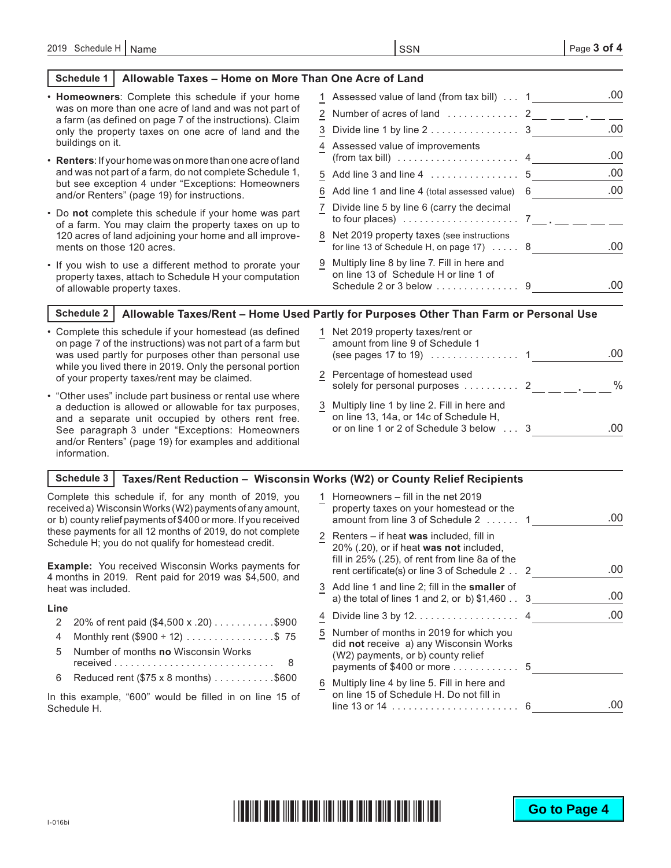#### **Schedule 1 Allowable Taxes – Home on More Than One Acre of Land**

| • Homeowners: Complete this schedule if your home                                                                                                | 1 Assessed value of land (from tax bill)  1                                                                   | .00 |
|--------------------------------------------------------------------------------------------------------------------------------------------------|---------------------------------------------------------------------------------------------------------------|-----|
| was on more than one acre of land and was not part of<br>a farm (as defined on page 7 of the instructions). Claim                                | 2 Number of acres of land  2 __ __ __ . __ _                                                                  |     |
| only the property taxes on one acre of land and the                                                                                              | 3 Divide line 1 by line 2 3                                                                                   | .00 |
| buildings on it.<br><b>Renters:</b> If your home was on more than one acre of land                                                               | 4 Assessed value of improvements<br>(from tax bill) $\ldots \ldots \ldots \ldots \ldots \ldots$               | .00 |
| and was not part of a farm, do not complete Schedule 1,                                                                                          |                                                                                                               | .00 |
| but see exception 4 under "Exceptions: Homeowners<br>and/or Renters" (page 19) for instructions.                                                 | 6 Add line 1 and line 4 (total assessed value) 6                                                              | .00 |
| • Do not complete this schedule if your home was part<br>of a farm. You may claim the property taxes on up to                                    | 7 Divide line 5 by line 6 (carry the decimal<br>to four places) $\ldots \ldots \ldots \ldots \ldots \ldots$ 7 |     |
| 120 acres of land adjoining your home and all improve-<br>ments on those 120 acres.                                                              | 8 Net 2019 property taxes (see instructions<br>for line 13 of Schedule H, on page $17) \ldots$ . 8            | .00 |
| • If you wish to use a different method to prorate your<br>property taxes, attach to Schedule H your computation<br>of allowable property taxes. | 9 Multiply line 8 by line 7. Fill in here and<br>on line 13 of Schedule H or line 1 of                        | .00 |
| Schadule 2 <sub>1</sub>                                                                                                                          | Allowable Taxes/Rent - Home I lead Partly for Purnoses Other Than Farm or Personal I lse                      |     |

### **Schedule 2 Allowable Taxes/Rent – Home Used Partly for Purposes Other Than Farm or Personal Use**

- Complete this schedule if your homestead (as defined on page 7 of the instructions) was not part of a farm but was used partly for purposes other than personal use while you lived there in 2019. Only the personal portion of your property taxes/rent may be claimed.
- "Other uses" include part business or rental use where a deduction is allowed or allowable for tax purposes, and a separate unit occupied by others rent free. See paragraph 3 under "Exceptions: Homeowners and/or Renters" (page 19) for examples and additional information.
- 1 Net 2019 property taxes/rent or amount from line 9 of Schedule 1 (see pages 17 to 19)  $\ldots \ldots \ldots \ldots$  1 2 Percentage of homestead used solely for personal purposes . . 2 **.** % 3 Multiply line 1 by line 2. Fill in here and on line 13, 14a, or 14c of Schedule H, or on line 1 or 2 of Schedule 3 below . . 3 .00 .00

#### **Schedule 3 Taxes/Rent Reduction – Wisconsin Works (W2) or County Relief Recipients**

Complete this schedule if, for any month of 2019, you received a) Wisconsin Works (W2) payments of any amount, or b) county relief payments of \$400 or more. If you received these payments for all 12 months of 2019, do not complete Schedule H; you do not qualify for homestead credit.

**Example:** You received Wisconsin Works payments for 4 months in 2019. Rent paid for 2019 was \$4,500, and heat was included.

#### **Line**

- 2 20% of rent paid  $(\$4,500 \times .20)$ ..........\$900
- 4 Monthly rent  $(\$900 ÷ 12)$  . . . . . . . . . . . . . . \$75
- 5 Number of months **no** Wisconsin Works received. . 8 6 Reduced rent ( $$75 \times 8$  months)  $\ldots \ldots \ldots$ \$600
- In this example, "600" would be filled in on line 15 of Schedule H.

|   | Homeowners – fill in the net 2019<br>property taxes on your homestead or the<br>amount from line 3 of Schedule 2  1                                                                     | -00 |
|---|-----------------------------------------------------------------------------------------------------------------------------------------------------------------------------------------|-----|
|   | 2 Renters – if heat was included, fill in<br>20% (.20), or if heat was not included,<br>fill in 25% (.25), of rent from line 8a of the<br>rent certificate(s) or line 3 of Schedule 2 2 | .00 |
|   | 3 Add line 1 and line 2; fill in the smaller of<br>a) the total of lines 1 and 2, or b) $$1,460$ 3                                                                                      | .00 |
|   | Divide line $3$ by $12. \ldots \ldots \ldots \ldots \ldots$ 4                                                                                                                           | .00 |
|   | 5 Number of months in 2019 for which you<br>did not receive a) any Wisconsin Works<br>(W2) payments, or b) county relief<br>payments of \$400 or more 5                                 |     |
| 6 | Multiply line 4 by line 5. Fill in here and<br>on line 15 of Schedule H. Do not fill in<br>line 13 or 14 $\ldots \ldots \ldots \ldots \ldots \ldots \ldots 6$                           |     |